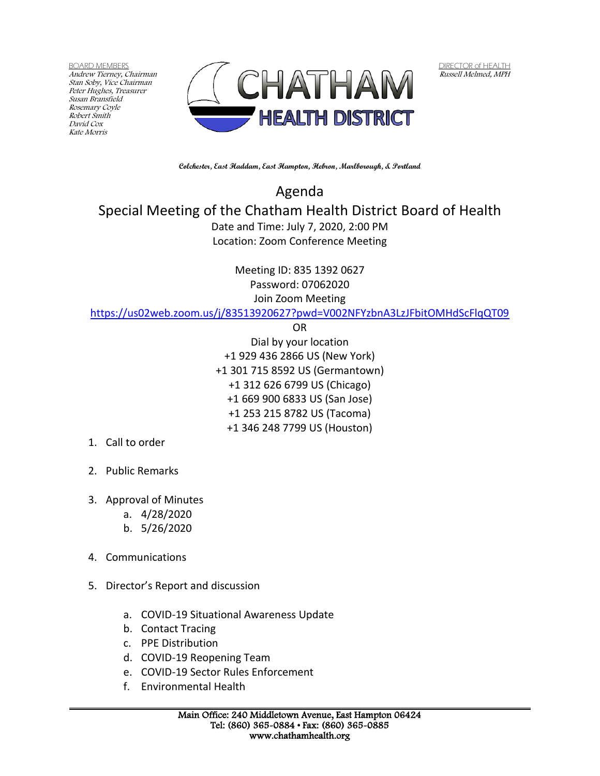BOARD MEMBERS Andrew Tierney, Chairman Stan Soby, Vice Chairman Peter Hughes, Treasurer Susan Bransfield Rosemary Coyle Robert Smith David Cox Kate Morris



DIRECTOR of HEALTH Russell Melmed, MPH

**Colchester, East Haddam, East Hampton, Hebron, Marlborough, & Portland**

Agenda Special Meeting of the Chatham Health District Board of Health Date and Time: July 7, 2020, 2:00 PM Location: Zoom Conference Meeting

> Meeting ID: 835 1392 0627 Password: 07062020 Join Zoom Meeting

<https://us02web.zoom.us/j/83513920627?pwd=V002NFYzbnA3LzJFbitOMHdScFlqQT09>

OR

Dial by your location +1 929 436 2866 US (New York) +1 301 715 8592 US (Germantown) +1 312 626 6799 US (Chicago) +1 669 900 6833 US (San Jose) +1 253 215 8782 US (Tacoma) +1 346 248 7799 US (Houston)

- 1. Call to order
- 2. Public Remarks
- 3. Approval of Minutes
	- a. 4/28/2020
	- b. 5/26/2020
- 4. Communications
- 5. Director's Report and discussion
	- a. COVID-19 Situational Awareness Update
	- b. Contact Tracing
	- c. PPE Distribution
	- d. COVID-19 Reopening Team
	- e. COVID-19 Sector Rules Enforcement
	- f. Environmental Health